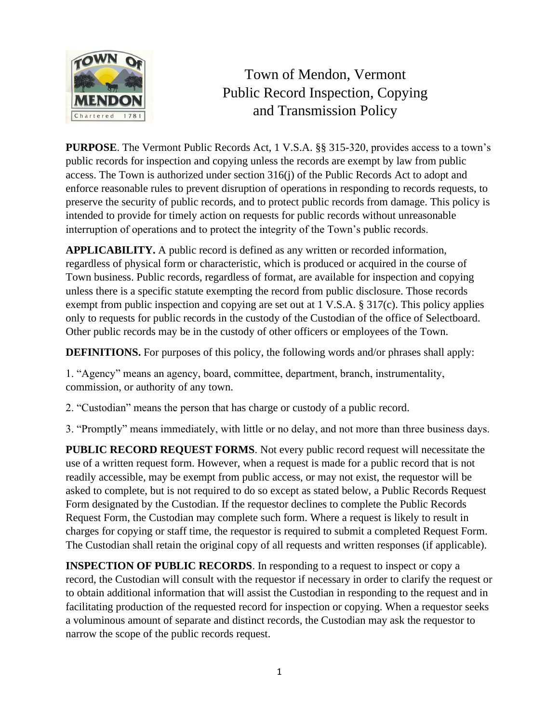

## Town of Mendon, Vermont Public Record Inspection, Copying and Transmission Policy

**PURPOSE**. The Vermont Public Records Act, 1 V.S.A. §§ 315-320, provides access to a town's public records for inspection and copying unless the records are exempt by law from public access. The Town is authorized under section 316(j) of the Public Records Act to adopt and enforce reasonable rules to prevent disruption of operations in responding to records requests, to preserve the security of public records, and to protect public records from damage. This policy is intended to provide for timely action on requests for public records without unreasonable interruption of operations and to protect the integrity of the Town's public records.

**APPLICABILITY.** A public record is defined as any written or recorded information, regardless of physical form or characteristic, which is produced or acquired in the course of Town business. Public records, regardless of format, are available for inspection and copying unless there is a specific statute exempting the record from public disclosure. Those records exempt from public inspection and copying are set out at 1 V.S.A. § 317(c). This policy applies only to requests for public records in the custody of the Custodian of the office of Selectboard. Other public records may be in the custody of other officers or employees of the Town.

**DEFINITIONS.** For purposes of this policy, the following words and/or phrases shall apply:

1. "Agency" means an agency, board, committee, department, branch, instrumentality, commission, or authority of any town.

2. "Custodian" means the person that has charge or custody of a public record.

3. "Promptly" means immediately, with little or no delay, and not more than three business days.

**PUBLIC RECORD REQUEST FORMS**. Not every public record request will necessitate the use of a written request form. However, when a request is made for a public record that is not readily accessible, may be exempt from public access, or may not exist, the requestor will be asked to complete, but is not required to do so except as stated below, a Public Records Request Form designated by the Custodian. If the requestor declines to complete the Public Records Request Form, the Custodian may complete such form. Where a request is likely to result in charges for copying or staff time, the requestor is required to submit a completed Request Form. The Custodian shall retain the original copy of all requests and written responses (if applicable).

**INSPECTION OF PUBLIC RECORDS**. In responding to a request to inspect or copy a record, the Custodian will consult with the requestor if necessary in order to clarify the request or to obtain additional information that will assist the Custodian in responding to the request and in facilitating production of the requested record for inspection or copying. When a requestor seeks a voluminous amount of separate and distinct records, the Custodian may ask the requestor to narrow the scope of the public records request.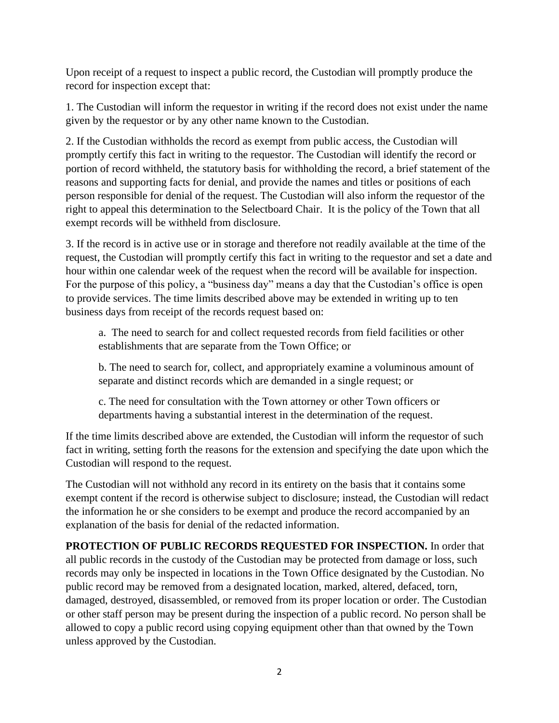Upon receipt of a request to inspect a public record, the Custodian will promptly produce the record for inspection except that:

1. The Custodian will inform the requestor in writing if the record does not exist under the name given by the requestor or by any other name known to the Custodian.

2. If the Custodian withholds the record as exempt from public access, the Custodian will promptly certify this fact in writing to the requestor. The Custodian will identify the record or portion of record withheld, the statutory basis for withholding the record, a brief statement of the reasons and supporting facts for denial, and provide the names and titles or positions of each person responsible for denial of the request. The Custodian will also inform the requestor of the right to appeal this determination to the Selectboard Chair. It is the policy of the Town that all exempt records will be withheld from disclosure.

3. If the record is in active use or in storage and therefore not readily available at the time of the request, the Custodian will promptly certify this fact in writing to the requestor and set a date and hour within one calendar week of the request when the record will be available for inspection. For the purpose of this policy, a "business day" means a day that the Custodian's office is open to provide services. The time limits described above may be extended in writing up to ten business days from receipt of the records request based on:

a. The need to search for and collect requested records from field facilities or other establishments that are separate from the Town Office; or

b. The need to search for, collect, and appropriately examine a voluminous amount of separate and distinct records which are demanded in a single request; or

c. The need for consultation with the Town attorney or other Town officers or departments having a substantial interest in the determination of the request.

If the time limits described above are extended, the Custodian will inform the requestor of such fact in writing, setting forth the reasons for the extension and specifying the date upon which the Custodian will respond to the request.

The Custodian will not withhold any record in its entirety on the basis that it contains some exempt content if the record is otherwise subject to disclosure; instead, the Custodian will redact the information he or she considers to be exempt and produce the record accompanied by an explanation of the basis for denial of the redacted information.

**PROTECTION OF PUBLIC RECORDS REQUESTED FOR INSPECTION.** In order that all public records in the custody of the Custodian may be protected from damage or loss, such records may only be inspected in locations in the Town Office designated by the Custodian. No public record may be removed from a designated location, marked, altered, defaced, torn, damaged, destroyed, disassembled, or removed from its proper location or order. The Custodian or other staff person may be present during the inspection of a public record. No person shall be allowed to copy a public record using copying equipment other than that owned by the Town unless approved by the Custodian.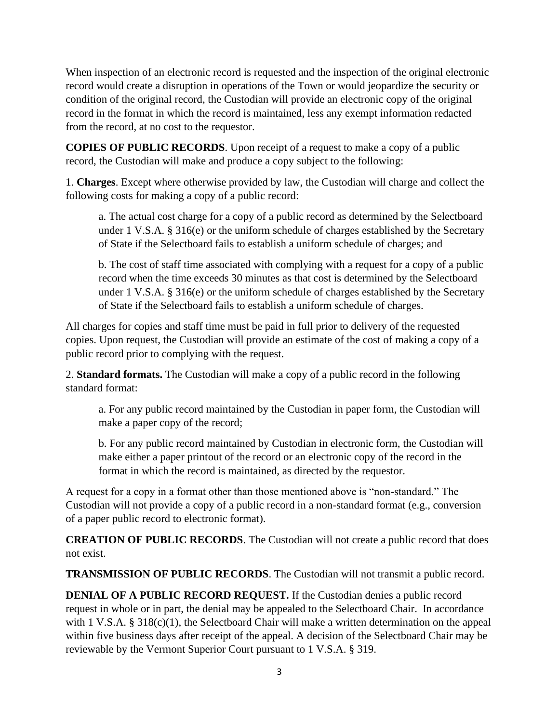When inspection of an electronic record is requested and the inspection of the original electronic record would create a disruption in operations of the Town or would jeopardize the security or condition of the original record, the Custodian will provide an electronic copy of the original record in the format in which the record is maintained, less any exempt information redacted from the record, at no cost to the requestor.

**COPIES OF PUBLIC RECORDS**. Upon receipt of a request to make a copy of a public record, the Custodian will make and produce a copy subject to the following:

1. **Charges**. Except where otherwise provided by law, the Custodian will charge and collect the following costs for making a copy of a public record:

a. The actual cost charge for a copy of a public record as determined by the Selectboard under 1 V.S.A. § 316(e) or the uniform schedule of charges established by the Secretary of State if the Selectboard fails to establish a uniform schedule of charges; and

b. The cost of staff time associated with complying with a request for a copy of a public record when the time exceeds 30 minutes as that cost is determined by the Selectboard under 1 V.S.A. § 316(e) or the uniform schedule of charges established by the Secretary of State if the Selectboard fails to establish a uniform schedule of charges.

All charges for copies and staff time must be paid in full prior to delivery of the requested copies. Upon request, the Custodian will provide an estimate of the cost of making a copy of a public record prior to complying with the request.

2. **Standard formats.** The Custodian will make a copy of a public record in the following standard format:

a. For any public record maintained by the Custodian in paper form, the Custodian will make a paper copy of the record;

b. For any public record maintained by Custodian in electronic form, the Custodian will make either a paper printout of the record or an electronic copy of the record in the format in which the record is maintained, as directed by the requestor.

A request for a copy in a format other than those mentioned above is "non-standard." The Custodian will not provide a copy of a public record in a non-standard format (e.g., conversion of a paper public record to electronic format).

**CREATION OF PUBLIC RECORDS**. The Custodian will not create a public record that does not exist.

**TRANSMISSION OF PUBLIC RECORDS**. The Custodian will not transmit a public record.

**DENIAL OF A PUBLIC RECORD REQUEST.** If the Custodian denies a public record request in whole or in part, the denial may be appealed to the Selectboard Chair. In accordance with 1 V.S.A. § 318(c)(1), the Selectboard Chair will make a written determination on the appeal within five business days after receipt of the appeal. A decision of the Selectboard Chair may be reviewable by the Vermont Superior Court pursuant to 1 V.S.A. § 319.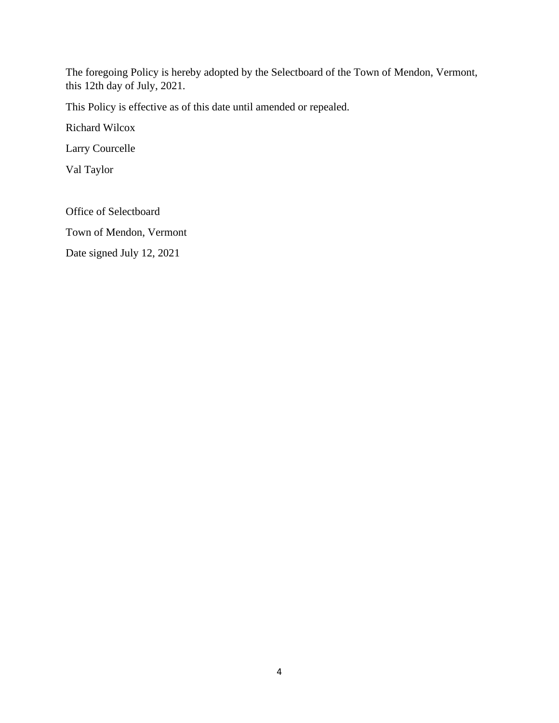The foregoing Policy is hereby adopted by the Selectboard of the Town of Mendon, Vermont, this 12th day of July, 2021.

This Policy is effective as of this date until amended or repealed.

Richard Wilcox

Larry Courcelle

Val Taylor

Office of Selectboard

Town of Mendon, Vermont

Date signed July 12, 2021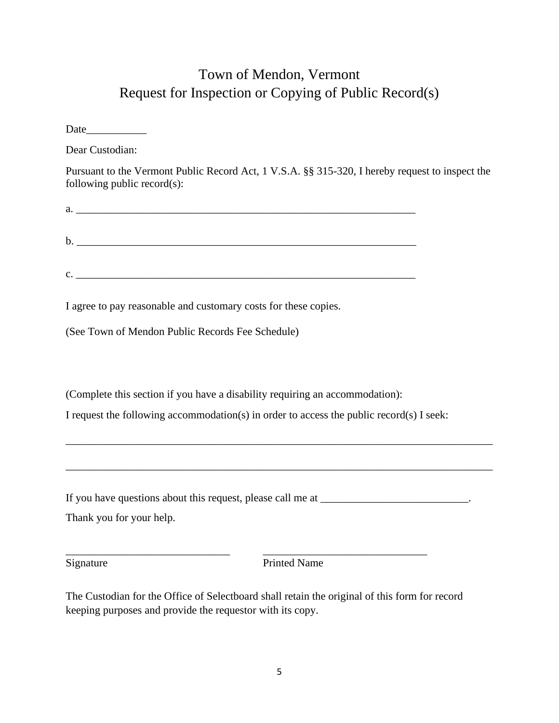## Town of Mendon, Vermont Request for Inspection or Copying of Public Record(s)

Date

Dear Custodian:

Pursuant to the Vermont Public Record Act, 1 V.S.A. §§ 315-320, I hereby request to inspect the following public record(s):

|                | a. |
|----------------|----|
|                |    |
|                |    |
|                |    |
|                |    |
|                |    |
| $\mathbf{c}$ . |    |

I agree to pay reasonable and customary costs for these copies.

(See Town of Mendon Public Records Fee Schedule)

(Complete this section if you have a disability requiring an accommodation):

I request the following accommodation(s) in order to access the public record(s) I seek:

\_\_\_\_\_\_\_\_\_\_\_\_\_\_\_\_\_\_\_\_\_\_\_\_\_\_\_\_\_\_\_\_\_\_\_\_\_\_\_\_\_\_\_\_\_\_\_\_\_\_\_\_\_\_\_\_\_\_\_\_\_\_\_\_\_\_\_\_\_\_\_\_\_\_\_\_\_\_

If you have questions about this request, please call me at \_\_\_\_\_\_\_\_\_\_\_\_\_\_\_\_\_\_\_\_.

Thank you for your help.

\_\_\_\_\_\_\_\_\_\_\_\_\_\_\_\_\_\_\_\_\_\_\_\_\_\_\_\_\_\_ \_\_\_\_\_\_\_\_\_\_\_\_\_\_\_\_\_\_\_\_\_\_\_\_\_\_\_\_\_\_ Signature Printed Name

The Custodian for the Office of Selectboard shall retain the original of this form for record keeping purposes and provide the requestor with its copy.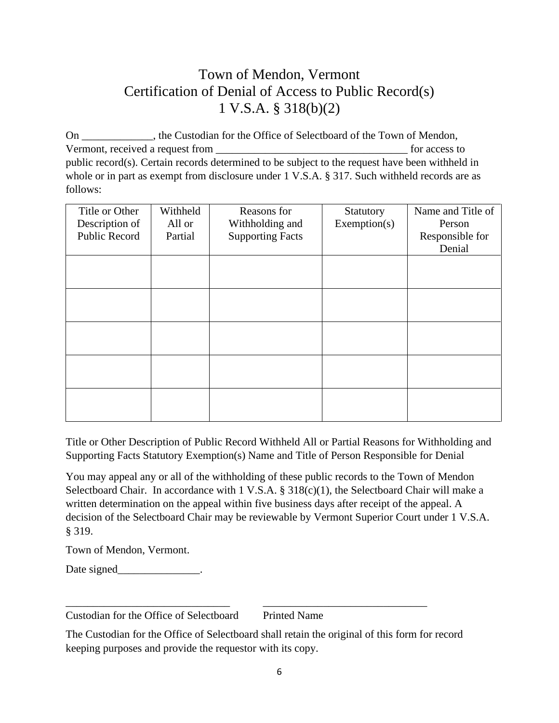## Town of Mendon, Vermont Certification of Denial of Access to Public Record(s) 1 V.S.A. § 318(b)(2)

On \_\_\_\_\_\_\_\_\_\_\_\_\_, the Custodian for the Office of Selectboard of the Town of Mendon, Vermont, received a request from \_\_\_\_\_\_\_\_\_\_\_\_\_\_\_\_\_\_\_\_\_\_\_\_\_\_\_\_\_\_\_\_\_\_\_ for access to public record(s). Certain records determined to be subject to the request have been withheld in whole or in part as exempt from disclosure under 1 V.S.A. § 317. Such withheld records are as follows:

| Title or Other | Withheld | Reasons for             | Statutory    | Name and Title of |
|----------------|----------|-------------------------|--------------|-------------------|
| Description of | All or   | Withholding and         | Exemption(s) | Person            |
| Public Record  | Partial  | <b>Supporting Facts</b> |              | Responsible for   |
|                |          |                         |              | Denial            |
|                |          |                         |              |                   |
|                |          |                         |              |                   |
|                |          |                         |              |                   |
|                |          |                         |              |                   |
|                |          |                         |              |                   |
|                |          |                         |              |                   |
|                |          |                         |              |                   |
|                |          |                         |              |                   |
|                |          |                         |              |                   |
|                |          |                         |              |                   |
|                |          |                         |              |                   |
|                |          |                         |              |                   |
|                |          |                         |              |                   |

Title or Other Description of Public Record Withheld All or Partial Reasons for Withholding and Supporting Facts Statutory Exemption(s) Name and Title of Person Responsible for Denial

You may appeal any or all of the withholding of these public records to the Town of Mendon Selectboard Chair. In accordance with 1 V.S.A. § 318(c)(1), the Selectboard Chair will make a written determination on the appeal within five business days after receipt of the appeal. A decision of the Selectboard Chair may be reviewable by Vermont Superior Court under 1 V.S.A. § 319.

Town of Mendon, Vermont.

Date signed\_\_\_\_\_\_\_\_\_\_\_\_\_\_\_\_.

Custodian for the Office of Selectboard Printed Name

\_\_\_\_\_\_\_\_\_\_\_\_\_\_\_\_\_\_\_\_\_\_\_\_\_\_\_\_\_\_ \_\_\_\_\_\_\_\_\_\_\_\_\_\_\_\_\_\_\_\_\_\_\_\_\_\_\_\_\_\_

The Custodian for the Office of Selectboard shall retain the original of this form for record keeping purposes and provide the requestor with its copy.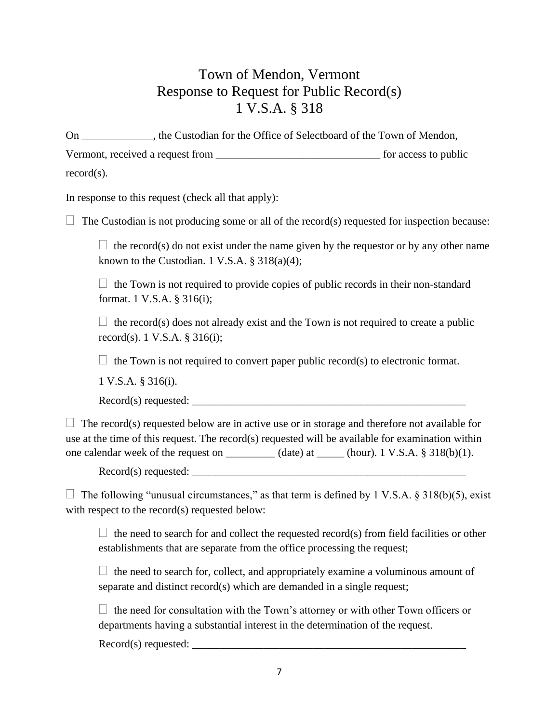## Town of Mendon, Vermont Response to Request for Public Record(s) 1 V.S.A. § 318

On \_\_\_\_\_\_\_\_\_\_\_\_\_, the Custodian for the Office of Selectboard of the Town of Mendon, Vermont, received a request from \_\_\_\_\_\_\_\_\_\_\_\_\_\_\_\_\_\_\_\_\_\_\_\_\_\_\_\_\_\_ for access to public record(s).

In response to this request (check all that apply):

 $\Box$  The Custodian is not producing some or all of the record(s) requested for inspection because:

 $\Box$  the record(s) do not exist under the name given by the requestor or by any other name known to the Custodian. 1 V.S.A.  $\S$  318(a)(4);

 $\Box$  the Town is not required to provide copies of public records in their non-standard format. 1 V.S.A. § 316(i);

 $\Box$  the record(s) does not already exist and the Town is not required to create a public record(s). 1 V.S.A. § 316(i);

 $\Box$  the Town is not required to convert paper public record(s) to electronic format.

1 V.S.A. § 316(i).

Record(s) requested: \_\_\_\_\_\_\_\_\_\_\_\_\_\_\_\_\_\_\_\_\_\_\_\_\_\_\_\_\_\_\_\_\_\_\_\_\_\_\_\_\_\_\_\_\_\_\_\_\_\_

 $\Box$  The record(s) requested below are in active use or in storage and therefore not available for use at the time of this request. The record(s) requested will be available for examination within one calendar week of the request on \_\_\_\_\_\_\_\_\_ (date) at \_\_\_\_\_ (hour). 1 V.S.A.  $\S$  318(b)(1).

 $Record(s)$  requested:  $\_\_$ 

 $\Box$  The following "unusual circumstances," as that term is defined by 1 V.S.A. § 318(b)(5), exist with respect to the record(s) requested below:

 $\Box$  the need to search for and collect the requested record(s) from field facilities or other establishments that are separate from the office processing the request;

 $\Box$  the need to search for, collect, and appropriately examine a voluminous amount of separate and distinct record(s) which are demanded in a single request;

 $\Box$  the need for consultation with the Town's attorney or with other Town officers or departments having a substantial interest in the determination of the request.

 $Record(s)$  requested: